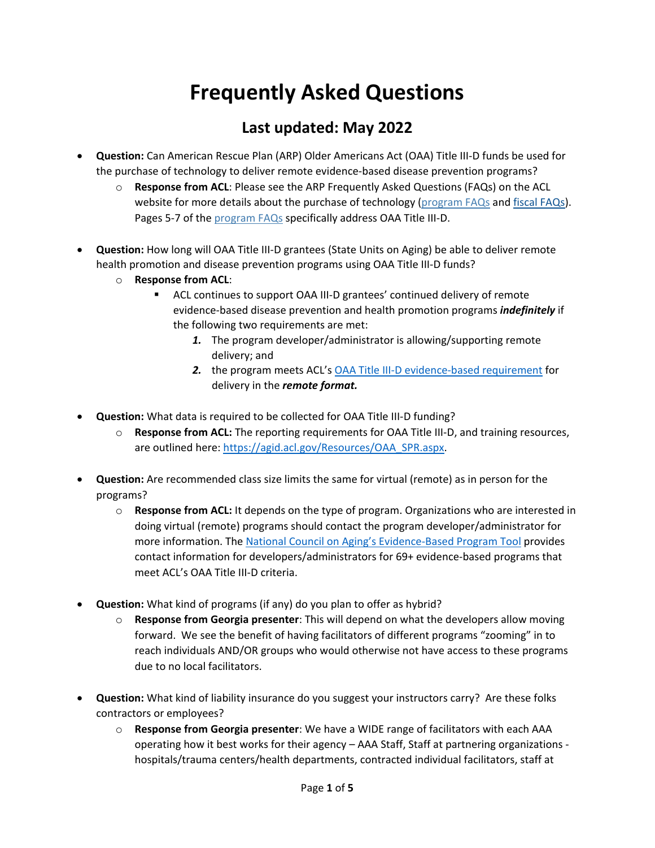## **Frequently Asked Questions**

## **Last updated: May 2022**

- **Question:** Can American Rescue Plan (ARP) Older Americans Act (OAA) Title III-D funds be used for the purchase of technology to deliver remote evidence-based disease prevention programs?
	- o **Response from ACL**: Please see the ARP Frequently Asked Questions (FAQs) on the ACL website for more details about the purchase of technology [\(program FAQs](https://acl.gov/sites/default/files/2021-05/ARP%20Programs%20FAQ_5_3_2021.pdf) and [fiscal FAQs\)](https://acl.gov/sites/default/files/2021-05/ARP%20Fiscal%20FAQ_4_30_2021.pdf). Pages 5-7 of the [program FAQs](https://acl.gov/sites/default/files/2021-05/ARP%20Programs%20FAQ_5_3_2021.pdf) specifically address OAA Title III-D.
- **Question:** How long will OAA Title III-D grantees (State Units on Aging) be able to deliver remote health promotion and disease prevention programs using OAA Title III-D funds?
	- o **Response from ACL**:
		- ACL continues to support OAA III-D grantees' continued delivery of remote evidence-based disease prevention and health promotion programs *indefinitely* if the following two requirements are met:
			- *1.* The program developer/administrator is allowing/supporting remote delivery; and
			- *2.* the program meets ACL's [OAA Title III-D evidence-based requirement](https://acl.gov/programs/health-wellness/disease-prevention) for delivery in the *remote format.*
- **Question:** What data is required to be collected for OAA Title III-D funding?
	- o **Response from ACL:** The reporting requirements for OAA Title III-D, and training resources, are outlined here: [https://agid.acl.gov/Resources/OAA\\_SPR.aspx.](https://agid.acl.gov/Resources/OAA_SPR.aspx)
- **Question:** Are recommended class size limits the same for virtual (remote) as in person for the programs?
	- o **Response from ACL:** It depends on the type of program. Organizations who are interested in doing virtual (remote) programs should contact the program developer/administrator for more information. The [National Council on Aging's Evidence-Based Program Tool](https://www.ncoa.org/evidence-based-programs) provides contact information for developers/administrators for 69+ evidence-based programs that meet ACL's OAA Title III-D criteria.
- **Question:** What kind of programs (if any) do you plan to offer as hybrid?
	- o **Response from Georgia presenter**: This will depend on what the developers allow moving forward. We see the benefit of having facilitators of different programs "zooming" in to reach individuals AND/OR groups who would otherwise not have access to these programs due to no local facilitators.
- **Question:** What kind of liability insurance do you suggest your instructors carry? Are these folks contractors or employees?
	- o **Response from Georgia presenter**: We have a WIDE range of facilitators with each AAA operating how it best works for their agency – AAA Staff, Staff at partnering organizations hospitals/trauma centers/health departments, contracted individual facilitators, staff at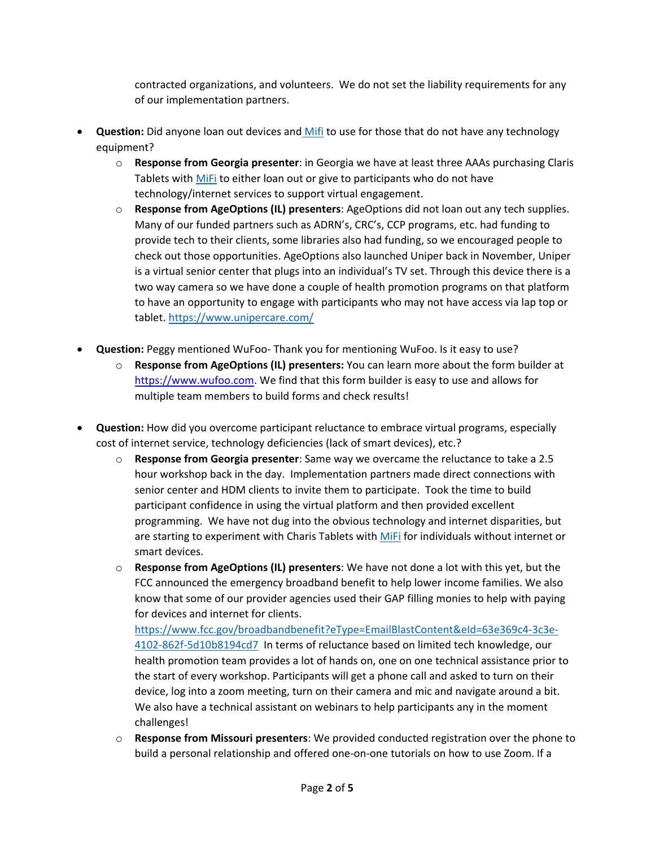contracted organizations, and volunteers. We do not set the liability requirements for any of our implementation partners.

- **Question:** Did anyone loan out devices an[d Mifi](https://en.wikipedia.org/wiki/MiFi) to use for those that do not have any technology equipment?
	- o **Response from Georgia presenter**: in Georgia we have at least three AAAs purchasing Claris Tablets with [MiFi](https://en.wikipedia.org/wiki/MiFi) to either loan out or give to participants who do not have technology/internet services to support virtual engagement.
	- o **Response from AgeOptions (IL) presenters**: AgeOptions did not loan out any tech supplies. Many of our funded partners such as ADRN's, CRC's, CCP programs, etc. had funding to provide tech to their clients, some libraries also had funding, so we encouraged people to check out those opportunities. AgeOptions also launched Uniper back in November, Uniper is a virtual senior center that plugs into an individual's TV set. Through this device there is a two way camera so we have done a couple of health promotion programs on that platform to have an opportunity to engage with participants who may not have access via lap top or tablet[. https://www.unipercare.com/](https://www.unipercare.com/)
- **Question:** Peggy mentioned WuFoo- Thank you for mentioning WuFoo. Is it easy to use?
	- o **Response from AgeOptions (IL) presenters:** You can learn more about the form builder at [https://www.wufoo.com.](https://www.wufoo.com/) We find that this form builder is easy to use and allows for multiple team members to build forms and check results!
- **Question:** How did you overcome participant reluctance to embrace virtual programs, especially cost of internet service, technology deficiencies (lack of smart devices), etc.?
	- o **Response from Georgia presenter**: Same way we overcame the reluctance to take a 2.5 hour workshop back in the day. Implementation partners made direct connections with senior center and HDM clients to invite them to participate. Took the time to build participant confidence in using the virtual platform and then provided excellent programming. We have not dug into the obvious technology and internet disparities, but are starting to experiment with Charis Tablets with [MiFi](https://en.wikipedia.org/wiki/MiFi) for individuals without internet or smart devices.
	- o **Response from AgeOptions (IL) presenters**: We have not done a lot with this yet, but the FCC announced the emergency broadband benefit to help lower income families. We also know that some of our provider agencies used their GAP filling monies to help with paying for devices and internet for clients.

[https://www.fcc.gov/broadbandbenefit?eType=EmailBlastContent&eId=63e369c4-3c3e-](https://www.fcc.gov/broadbandbenefit?eType=EmailBlastContent&eId=63e369c4-3c3e-4102-862f-5d10b8194cd7)[4102-862f-5d10b8194cd7](https://www.fcc.gov/broadbandbenefit?eType=EmailBlastContent&eId=63e369c4-3c3e-4102-862f-5d10b8194cd7) In terms of reluctance based on limited tech knowledge, our health promotion team provides a lot of hands on, one on one technical assistance prior to the start of every workshop. Participants will get a phone call and asked to turn on their device, log into a zoom meeting, turn on their camera and mic and navigate around a bit. We also have a technical assistant on webinars to help participants any in the moment challenges!

o **Response from Missouri presenters**: We provided conducted registration over the phone to build a personal relationship and offered one-on-one tutorials on how to use Zoom. If a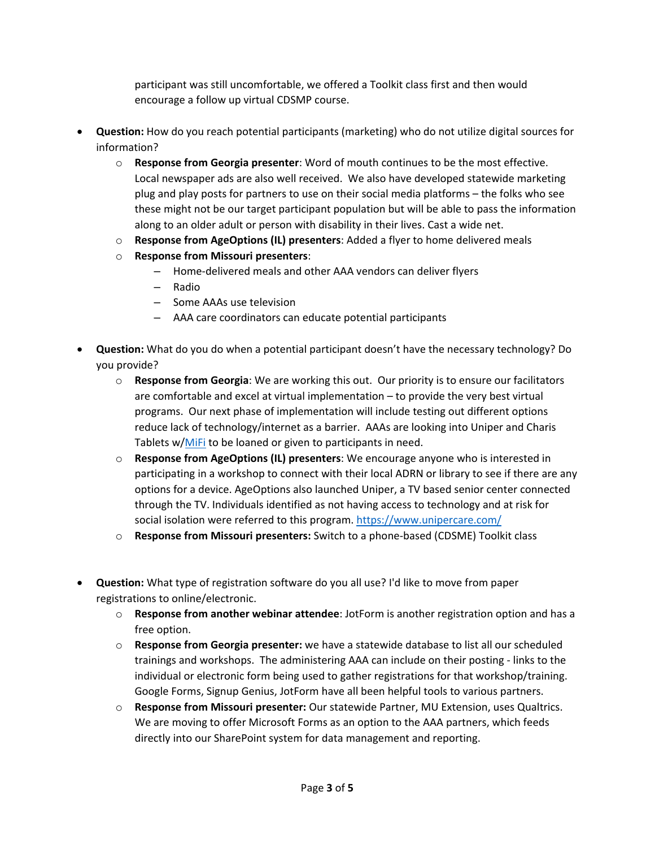participant was still uncomfortable, we offered a Toolkit class first and then would encourage a follow up virtual CDSMP course.

- **Question:** How do you reach potential participants (marketing) who do not utilize digital sources for information?
	- o **Response from Georgia presenter**: Word of mouth continues to be the most effective. Local newspaper ads are also well received. We also have developed statewide marketing plug and play posts for partners to use on their social media platforms – the folks who see these might not be our target participant population but will be able to pass the information along to an older adult or person with disability in their lives. Cast a wide net.
	- o **Response from AgeOptions (IL) presenters**: Added a flyer to home delivered meals
	- o **Response from Missouri presenters**:
		- Home-delivered meals and other AAA vendors can deliver flyers
		- Radio
		- Some AAAs use television
		- AAA care coordinators can educate potential participants
- **Question:** What do you do when a potential participant doesn't have the necessary technology? Do you provide?
	- o **Response from Georgia**: We are working this out. Our priority is to ensure our facilitators are comfortable and excel at virtual implementation – to provide the very best virtual programs. Our next phase of implementation will include testing out different options reduce lack of technology/internet as a barrier. AAAs are looking into Uniper and Charis Tablets w[/MiFi](https://en.wikipedia.org/wiki/MiFi) to be loaned or given to participants in need.
	- o **Response from AgeOptions (IL) presenters**: We encourage anyone who is interested in participating in a workshop to connect with their local ADRN or library to see if there are any options for a device. AgeOptions also launched Uniper, a TV based senior center connected through the TV. Individuals identified as not having access to technology and at risk for social isolation were referred to this program.<https://www.unipercare.com/>
	- o **Response from Missouri presenters:** Switch to a phone-based (CDSME) Toolkit class
- **Question:** What type of registration software do you all use? I'd like to move from paper registrations to online/electronic.
	- o **Response from another webinar attendee**: JotForm is another registration option and has a free option.
	- o **Response from Georgia presenter:** we have a statewide database to list all our scheduled trainings and workshops. The administering AAA can include on their posting - links to the individual or electronic form being used to gather registrations for that workshop/training. Google Forms, Signup Genius, JotForm have all been helpful tools to various partners.
	- o **Response from Missouri presenter:** Our statewide Partner, MU Extension, uses Qualtrics. We are moving to offer Microsoft Forms as an option to the AAA partners, which feeds directly into our SharePoint system for data management and reporting.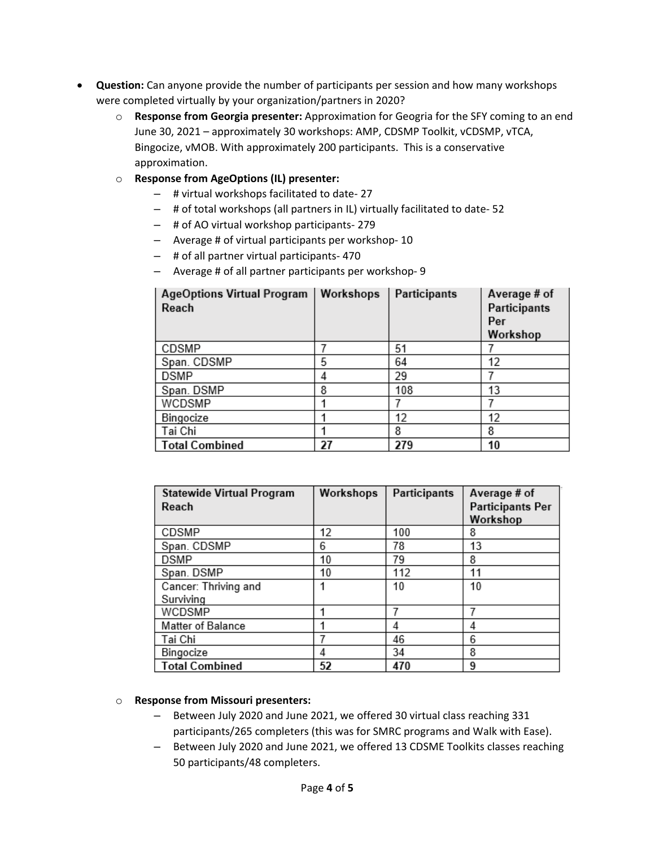- **Question:** Can anyone provide the number of participants per session and how many workshops were completed virtually by your organization/partners in 2020?
	- o **Response from Georgia presenter:** Approximation for Geogria for the SFY coming to an end June 30, 2021 – approximately 30 workshops: AMP, CDSMP Toolkit, vCDSMP, vTCA, Bingocize, vMOB. With approximately 200 participants. This is a conservative approximation.
	- o **Response from AgeOptions (IL) presenter:**
		- # virtual workshops facilitated to date- 27
		- # of total workshops (all partners in IL) virtually facilitated to date- 52
		- # of AO virtual workshop participants- 279
		- Average # of virtual participants per workshop- 10
		- # of all partner virtual participants- 470
		- Average # of all partner participants per workshop- 9

| <b>AgeOptions Virtual Program</b><br>Reach | Workshops | Participants | Average # of<br>Participants<br>Per<br>Workshop |
|--------------------------------------------|-----------|--------------|-------------------------------------------------|
| CDSMP                                      |           | 51           |                                                 |
| Span. CDSMP                                | 5         | 64           | 12                                              |
| DSMP                                       | 4         | 29           |                                                 |
| Span. DSMP                                 | 8         | 108          | 13                                              |
| WCDSMP                                     |           |              |                                                 |
| Bingocize                                  |           | 12           | 12                                              |
| Tai Chi                                    |           | 8            | 8                                               |
| <b>Total Combined</b>                      | 27        | 279          | 10                                              |

| <b>Statewide Virtual Program</b> | Workshops | <b>Participants</b> | Average # of            |
|----------------------------------|-----------|---------------------|-------------------------|
| Reach                            |           |                     | <b>Participants Per</b> |
|                                  |           |                     | Workshop                |
| CDSMP                            | 12        | 100                 | 8                       |
| Span. CDSMP                      | 6         | 78                  | 13                      |
| <b>DSMP</b>                      | 10        | 79                  | 8                       |
| Span. DSMP                       | 10        | 112                 | 11                      |
| Cancer: Thriving and             |           | 10                  | 10                      |
| Surviving                        |           |                     |                         |
| WCDSMP                           |           |                     |                         |
| Matter of Balance                |           | 4                   | 4                       |
| Tai Chi                          |           | 46                  | 6                       |
| Bingocize                        | 4         | 34                  | 8                       |
| <b>Total Combined</b>            | 52        | 470                 | 9                       |

## o **Response from Missouri presenters:**

- Between July 2020 and June 2021, we offered 30 virtual class reaching 331 participants/265 completers (this was for SMRC programs and Walk with Ease).
- Between July 2020 and June 2021, we offered 13 CDSME Toolkits classes reaching 50 participants/48 completers.